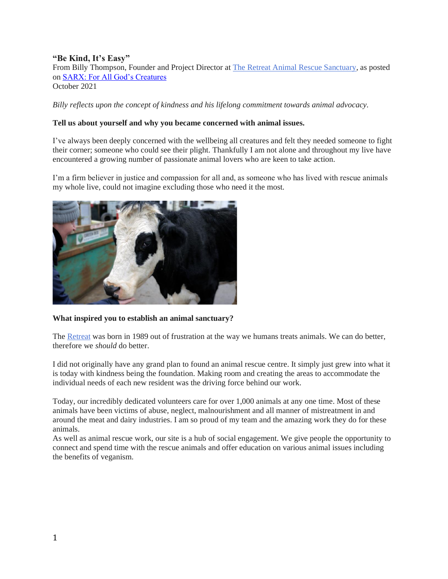# **"Be Kind, It's Easy"**

From Billy Thompson, Founder and Project Director at [The Retreat Animal Rescue Sanctuary,](https://www.retreatanimalrescue.org.uk/) as posted on [SARX: For All God's Creatures](https://sarx.org.uk/) October 2021

*Billy reflects upon the concept of kindness and his lifelong commitment towards animal advocacy.*

## **Tell us about yourself and why you became concerned with animal issues.**

I've always been deeply concerned with the wellbeing all creatures and felt they needed someone to fight their corner; someone who could see their plight. Thankfully I am not alone and throughout my live have encountered a growing number of passionate animal lovers who are keen to take action.

I'm a firm believer in justice and compassion for all and, as someone who has lived with rescue animals my whole live, could not imagine excluding those who need it the most.



### **What inspired you to establish an animal sanctuary?**

The [Retreat](https://www.retreatanimalrescue.org.uk/) was born in 1989 out of frustration at the way we humans treats animals. We can do better, therefore we *should* do better.

I did not originally have any grand plan to found an animal rescue centre. It simply just grew into what it is today with kindness being the foundation. Making room and creating the areas to accommodate the individual needs of each new resident was the driving force behind our work.

Today, our incredibly dedicated volunteers care for over 1,000 animals at any one time. Most of these animals have been victims of abuse, neglect, malnourishment and all manner of mistreatment in and around the meat and dairy industries. I am so proud of my team and the amazing work they do for these animals.

As well as animal rescue work, our site is a hub of social engagement. We give people the opportunity to connect and spend time with the rescue animals and offer education on various animal issues including the benefits of veganism.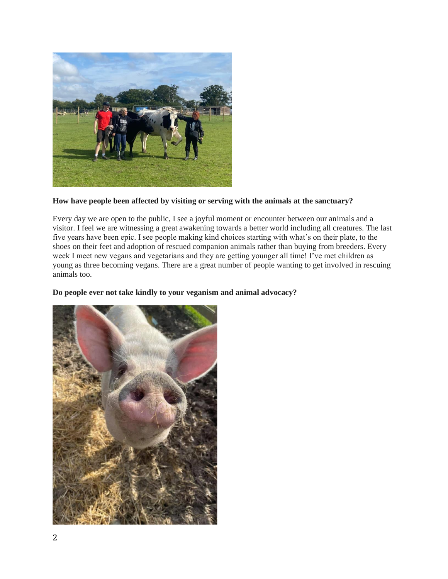

## **How have people been affected by visiting or serving with the animals at the sanctuary?**

Every day we are open to the public, I see a joyful moment or encounter between our animals and a visitor. I feel we are witnessing a great awakening towards a better world including all creatures. The last five years have been epic. I see people making kind choices starting with what's on their plate, to the shoes on their feet and adoption of rescued companion animals rather than buying from breeders. Every week I meet new vegans and vegetarians and they are getting younger all time! I've met children as young as three becoming vegans. There are a great number of people wanting to get involved in rescuing animals too.

### **Do people ever not take kindly to your veganism and animal advocacy?**

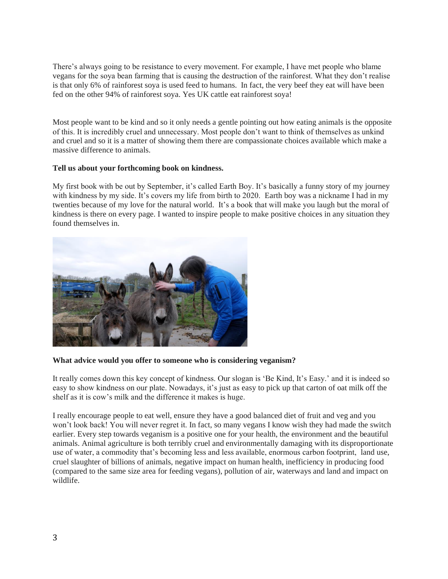There's always going to be resistance to every movement. For example, I have met people who blame vegans for the soya bean farming that is causing the destruction of the rainforest. What they don't realise is that only 6% of rainforest soya is used feed to humans. In fact, the very beef they eat will have been fed on the other 94% of rainforest soya. Yes UK cattle eat rainforest soya!

Most people want to be kind and so it only needs a gentle pointing out how eating animals is the opposite of this. It is incredibly cruel and unnecessary. Most people don't want to think of themselves as unkind and cruel and so it is a matter of showing them there are compassionate choices available which make a massive difference to animals.

#### **Tell us about your forthcoming book on kindness.**

My first book with be out by September, it's called Earth Boy. It's basically a funny story of my journey with kindness by my side. It's covers my life from birth to 2020. Earth boy was a nickname I had in my twenties because of my love for the natural world. It's a book that will make you laugh but the moral of kindness is there on every page. I wanted to inspire people to make positive choices in any situation they found themselves in.



#### **What advice would you offer to someone who is considering veganism?**

It really comes down this key concept of kindness. Our slogan is 'Be Kind, It's Easy.' and it is indeed so easy to show kindness on our plate. Nowadays, it's just as easy to pick up that carton of oat milk off the shelf as it is cow's milk and the difference it makes is huge.

I really encourage people to eat well, ensure they have a good balanced diet of fruit and veg and you won't look back! You will never regret it. In fact, so many vegans I know wish they had made the switch earlier. Every step towards veganism is a positive one for your health, the environment and the beautiful animals. Animal agriculture is both terribly cruel and environmentally damaging with its disproportionate use of water, a commodity that's becoming less and less available, enormous carbon footprint, land use, cruel slaughter of billions of animals, negative impact on human health, inefficiency in producing food (compared to the same size area for feeding vegans), pollution of air, waterways and land and impact on wildlife.